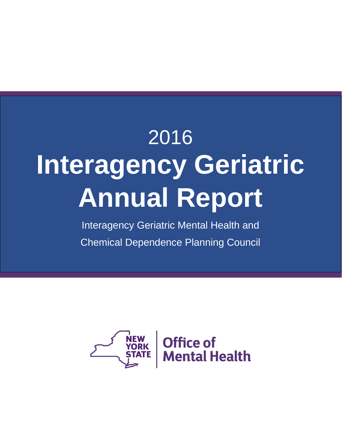# Month Year **Report Title** aan me 2016 **Interagency Geriatric Annual Report**

Interagency Geriatric Mental Health and Chemical Dependence Planning Council

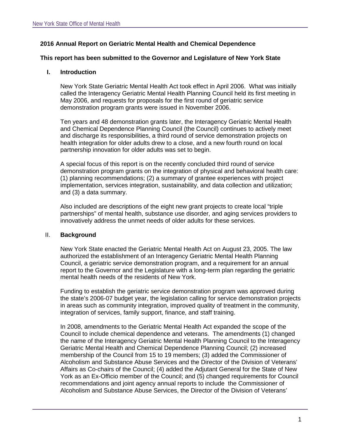## **2016 Annual Report on Geriatric Mental Health and Chemical Dependence**

#### **This report has been submitted to the Governor and Legislature of New York State**

#### **I. Introduction**

New York State Geriatric Mental Health Act took effect in April 2006. What was initially called the Interagency Geriatric Mental Health Planning Council held its first meeting in May 2006, and requests for proposals for the first round of geriatric service demonstration program grants were issued in November 2006.

Ten years and 48 demonstration grants later, the Interagency Geriatric Mental Health and Chemical Dependence Planning Council (the Council) continues to actively meet and discharge its responsibilities, a third round of service demonstration projects on health integration for older adults drew to a close, and a new fourth round on local partnership innovation for older adults was set to begin.

A special focus of this report is on the recently concluded third round of service demonstration program grants on the integration of physical and behavioral health care: (1) planning recommendations; (2) a summary of grantee experiences with project implementation, services integration, sustainability, and data collection and utilization; and (3) a data summary.

Also included are descriptions of the eight new grant projects to create local "triple partnerships" of mental health, substance use disorder, and aging services providers to innovatively address the unmet needs of older adults for these services.

#### II. **Background**

New York State enacted the Geriatric Mental Health Act on August 23, 2005. The law authorized the establishment of an Interagency Geriatric Mental Health Planning Council, a geriatric service demonstration program, and a requirement for an annual report to the Governor and the Legislature with a long-term plan regarding the geriatric mental health needs of the residents of New York.

Funding to establish the geriatric service demonstration program was approved during the state's 2006-07 budget year, the legislation calling for service demonstration projects in areas such as community integration, improved quality of treatment in the community, integration of services, family support, finance, and staff training.

In 2008, amendments to the Geriatric Mental Health Act expanded the scope of the Council to include chemical dependence and veterans. The amendments (1) changed the name of the Interagency Geriatric Mental Health Planning Council to the Interagency Geriatric Mental Health and Chemical Dependence Planning Council; (2) increased membership of the Council from 15 to 19 members; (3) added the Commissioner of Alcoholism and Substance Abuse Services and the Director of the Division of Veterans' Affairs as Co-chairs of the Council; (4) added the Adjutant General for the State of New York as an Ex-Officio member of the Council; and (5) changed requirements for Council recommendations and joint agency annual reports to include the Commissioner of Alcoholism and Substance Abuse Services, the Director of the Division of Veterans'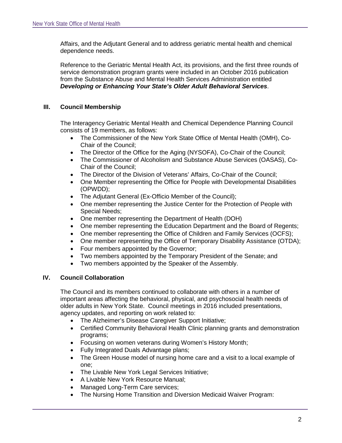Affairs, and the Adjutant General and to address geriatric mental health and chemical dependence needs.

Reference to the Geriatric Mental Health Act, its provisions, and the first three rounds of service demonstration program grants were included in an October 2016 publication from the Substance Abuse and Mental Health Services Administration entitled *Developing or Enhancing Your State's Older Adult Behavioral Services*.

## **III. Council Membership**

The Interagency Geriatric Mental Health and Chemical Dependence Planning Council consists of 19 members, as follows:

- The Commissioner of the New York State Office of Mental Health (OMH), Co-Chair of the Council;
- The Director of the Office for the Aging (NYSOFA), Co-Chair of the Council;
- The Commissioner of Alcoholism and Substance Abuse Services (OASAS), Co-Chair of the Council;
- The Director of the Division of Veterans' Affairs, Co-Chair of the Council;
- One Member representing the Office for People with Developmental Disabilities (OPWDD);
- The Adjutant General (Ex-Officio Member of the Council);<br>• One member representing the Justice Center for the Prote
- One member representing the Justice Center for the Protection of People with Special Needs;
- One member representing the Department of Health (DOH)
- One member representing the Education Department and the Board of Regents;
- One member representing the Office of Children and Family Services (OCFS);
- One member representing the Office of Temporary Disability Assistance (OTDA);
- Four members appointed by the Governor;
- Two members appointed by the Temporary President of the Senate; and
- Two members appointed by the Speaker of the Assembly.

## **IV. Council Collaboration**

The Council and its members continued to collaborate with others in a number of important areas affecting the behavioral, physical, and psychosocial health needs of older adults in New York State. Council meetings in 2016 included presentations, agency updates, and reporting on work related to:

- The Alzheimer's Disease Caregiver Support Initiative;
- Certified Community Behavioral Health Clinic planning grants and demonstration programs;
- Focusing on women veterans during Women's History Month;
- Fully Integrated Duals Advantage plans;
- The Green House model of nursing home care and a visit to a local example of one;
- The Livable New York Legal Services Initiative;
- A Livable New York Resource Manual;
- Managed Long-Term Care services;
- The Nursing Home Transition and Diversion Medicaid Waiver Program: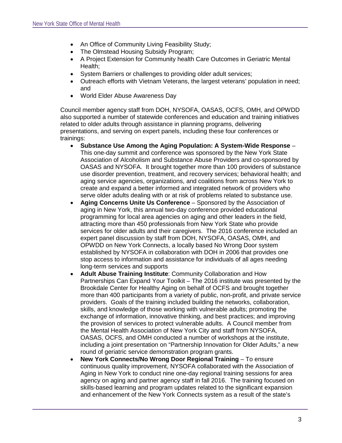- An Office of Community Living Feasibility Study;
- The Olmstead Housing Subsidy Program;
- A Project Extension for Community health Care Outcomes in Geriatric Mental Health;
- System Barriers or challenges to providing older adult services;
- Outreach efforts with Vietnam Veterans, the largest veterans' population in need; and
- World Elder Abuse Awareness Day

Council member agency staff from DOH, NYSOFA, OASAS, OCFS, OMH, and OPWDD also supported a number of statewide conferences and education and training initiatives related to older adults through assistance in planning programs, delivering presentations, and serving on expert panels, including these four conferences or trainings:

- **Substance Use Among the Aging Population: A System-Wide Response** This one-day summit and conference was sponsored by the New York State Association of Alcoholism and Substance Abuse Providers and co-sponsored by OASAS and NYSOFA. It brought together more than 100 providers of substance use disorder prevention, treatment, and recovery services; behavioral health; and aging service agencies, organizations, and coalitions from across New York to create and expand a better informed and integrated network of providers who serve older adults dealing with or at risk of problems related to substance use.
- **Aging Concerns Unite Us Conference** Sponsored by the Association of aging in New York, this annual two-day conference provided educational programming for local area agencies on aging and other leaders in the field, attracting more than 450 professionals from New York State who provide services for older adults and their caregivers. The 2016 conference included an expert panel discussion by staff from DOH, NYSOFA, OASAS, OMH, and OPWDD on New York Connects, a locally based No Wrong Door system established by NYSOFA in collaboration with DOH in 2006 that provides one stop access to information and assistance for individuals of all ages needing long-term services and supports
- **Adult Abuse Training Institute**: Community Collaboration and How Partnerships Can Expand Your Toolkit – The 2016 institute was presented by the Brookdale Center for Healthy Aging on behalf of OCFS and brought together more than 400 participants from a variety of public, non-profit, and private service providers. Goals of the training included building the networks, collaboration, skills, and knowledge of those working with vulnerable adults; promoting the exchange of information, innovative thinking, and best practices; and improving the provision of services to protect vulnerable adults. A Council member from the Mental Health Association of New York City and staff from NYSOFA, OASAS, OCFS, and OMH conducted a number of workshops at the institute, including a joint presentation on "Partnership Innovation for Older Adults," a new round of geriatric service demonstration program grants.
- **New York Connects/No Wrong Door Regional Training** To ensure continuous quality improvement, NYSOFA collaborated with the Association of Aging in New York to conduct nine one-day regional training sessions for area agency on aging and partner agency staff in fall 2016. The training focused on skills-based learning and program updates related to the significant expansion and enhancement of the New York Connects system as a result of the state's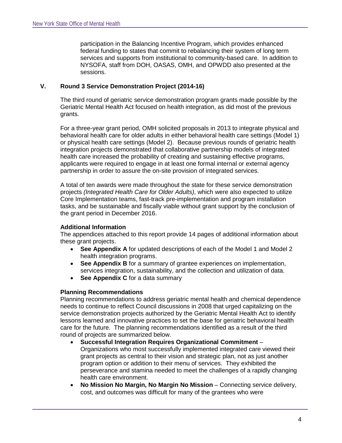participation in the Balancing Incentive Program, which provides enhanced federal funding to states that commit to rebalancing their system of long term services and supports from institutional to community-based care. In addition to NYSOFA, staff from DOH, OASAS, OMH, and OPWDD also presented at the sessions.

## **V. Round 3 Service Demonstration Project (2014-16)**

The third round of geriatric service demonstration program grants made possible by the Geriatric Mental Health Act focused on health integration, as did most of the previous grants.

For a three-year grant period, OMH solicited proposals in 2013 to integrate physical and behavioral health care for older adults in either behavioral health care settings (Model 1) or physical health care settings (Model 2). Because previous rounds of geriatric health integration projects demonstrated that collaborative partnership models of integrated health care increased the probability of creating and sustaining effective programs, applicants were required to engage in at least one formal internal or external agency partnership in order to assure the on-site provision of integrated services.

A total of ten awards were made throughout the state for these service demonstration projects *(Integrated Health Care for Older Adults)*, which were also expected to utilize Core Implementation teams, fast-track pre-implementation and program installation tasks, and be sustainable and fiscally viable without grant support by the conclusion of the grant period in December 2016.

## **Additional Information**

The appendices attached to this report provide 14 pages of additional information about these grant projects.

- See Appendix A for updated descriptions of each of the Model 1 and Model 2 health integration programs.
- **See Appendix B** for a summary of grantee experiences on implementation, services integration, sustainability, and the collection and utilization of data.
- **See Appendix C** for a data summary

#### **Planning Recommendations**

Planning recommendations to address geriatric mental health and chemical dependence needs to continue to reflect Council discussions in 2008 that urged capitalizing on the service demonstration projects authorized by the Geriatric Mental Health Act to identify lessons learned and innovative practices to set the base for geriatric behavioral health care for the future. The planning recommendations identified as a result of the third round of projects are summarized below.

• **Successful Integration Requires Organizational Commitment** – Organizations who most successfully implemented integrated care viewed their grant projects as central to their vision and strategic plan, not as just another program option or addition to their menu of services. They exhibited the perseverance and stamina needed to meet the challenges of a rapidly changing health care environment.

• **No Mission No Margin, No Margin No Mission** – Connecting service delivery, cost, and outcomes was difficult for many of the grantees who were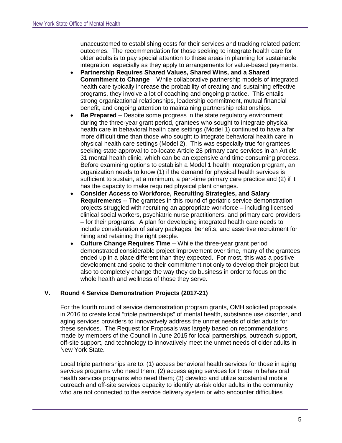unaccustomed to establishing costs for their services and tracking related patient outcomes. The recommendation for those seeking to integrate health care for older adults is to pay special attention to these areas in planning for sustainable integration, especially as they apply to arrangements for value-based payments.

- **Partnership Requires Shared Values, Shared Wins, and a Shared Commitment to Change** – While collaborative partnership models of integrated health care typically increase the probability of creating and sustaining effective programs, they involve a lot of coaching and ongoing practice. This entails strong organizational relationships, leadership commitment, mutual financial benefit, and ongoing attention to maintaining partnership relationships.
- **Be Prepared** Despite some progress in the state regulatory environment during the three-year grant period, grantees who sought to integrate physical health care in behavioral health care settings (Model 1) continued to have a far more difficult time than those who sought to integrate behavioral health care in physical health care settings (Model 2). This was especially true for grantees seeking state approval to co-locate Article 28 primary care services in an Article 31 mental health clinic, which can be an expensive and time consuming process. Before examining options to establish a Model 1 health integration program, an organization needs to know (1) if the demand for physical health services is sufficient to sustain, at a minimum, a part-time primary care practice and (2) if it has the capacity to make required physical plant changes.
- **Consider Access to Workforce, Recruiting Strategies, and Salary Requirements** -- The grantees in this round of geriatric service demonstration projects struggled with recruiting an appropriate workforce – including licensed clinical social workers, psychiatric nurse practitioners, and primary care providers – for their programs. A plan for developing integrated health care needs to include consideration of salary packages, benefits, and assertive recruitment for hiring and retaining the right people.
- **Culture Change Requires Time** -- While the three-year grant period demonstrated considerable project improvement over time, many of the grantees ended up in a place different than they expected. For most, this was a positive development and spoke to their commitment not only to develop their project but also to completely change the way they do business in order to focus on the whole health and wellness of those they serve.

## **V. Round 4 Service Demonstration Projects (2017-21)**

For the fourth round of service demonstration program grants, OMH solicited proposals in 2016 to create local "triple partnerships" of mental health, substance use disorder, and aging services providers to innovatively address the unmet needs of older adults for these services. The Request for Proposals was largely based on recommendations made by members of the Council in June 2015 for local partnerships, outreach support, off-site support, and technology to innovatively meet the unmet needs of older adults in New York State.

Local triple partnerships are to: (1) access behavioral health services for those in aging services programs who need them; (2) access aging services for those in behavioral health services programs who need them; (3) develop and utilize substantial mobile outreach and off-site services capacity to identify at-risk older adults in the community who are not connected to the service delivery system or who encounter difficulties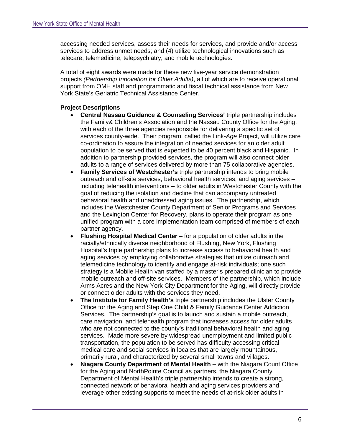accessing needed services, assess their needs for services, and provide and/or access services to address unmet needs; and (4) utilize technological innovations such as telecare, telemedicine, telepsychiatry, and mobile technologies.

A total of eight awards were made for these new five-year service demonstration projects *(Partnership Innovation for Older Adults)*, all of which are to receive operational support from OMH staff and programmatic and fiscal technical assistance from New York State's Geriatric Technical Assistance Center.

## **Project Descriptions**

- **Central Nassau Guidance & Counseling Services'** triple partnership includes the Family& Children's Association and the Nassau County Office for the Aging, with each of the three agencies responsible for delivering a specific set of services county-wide. Their program, called the Link-*Age* Project, will utilize care co-ordination to assure the integration of needed services for an older adult population to be served that is expected to be 40 percent black and Hispanic. In addition to partnership provided services, the program will also connect older adults to a range of services delivered by more than 75 collaborative agencies.
- **Family Services of Westchester's** triple partnership intends to bring mobile outreach and off-site services, behavioral health services, and aging services – including telehealth interventions – to older adults in Westchester County with the goal of reducing the isolation and decline that can accompany untreated behavioral health and unaddressed aging issues. The partnership, which includes the Westchester County Department of Senior Programs and Services and the Lexington Center for Recovery, plans to operate their program as one unified program with a core implementation team comprised of members of each partner agency.
- **Flushing Hospital Medical Center** for a population of older adults in the racially/ethnically diverse neighborhood of Flushing, New York, Flushing Hospital's triple partnership plans to increase access to behavioral health and aging services by employing collaborative strategies that utilize outreach and telemedicine technology to identify and engage at-risk individuals; one such strategy is a Mobile Health van staffed by a master's prepared clinician to provide mobile outreach and off-site services. Members of the partnership, which include Arms Acres and the New York City Department for the Aging, will directly provide or connect older adults with the services they need.
- **The Institute for Family Health's** triple partnership includes the Ulster County Office for the Aging and Step One Child & Family Guidance Center Addiction Services. The partnership's goal is to launch and sustain a mobile outreach, care navigation, and telehealth program that increases access for older adults who are not connected to the county's traditional behavioral health and aging services. Made more severe by widespread unemployment and limited public transportation, the population to be served has difficulty accessing critical medical care and social services in locales that are largely mountainous, primarily rural, and characterized by several small towns and villages.
- **Niagara County Department of Mental Health** with the Niagara Count Office for the Aging and NorthPointe Council as partners, the Niagara County Department of Mental Health's triple partnership intends to create a strong, connected network of behavioral health and aging services providers and leverage other existing supports to meet the needs of at-risk older adults in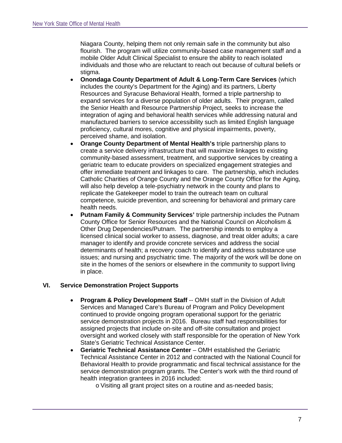Niagara County, helping them not only remain safe in the community but also flourish. The program will utilize community-based case management staff and a mobile Older Adult Clinical Specialist to ensure the ability to reach isolated individuals and those who are reluctant to reach out because of cultural beliefs or stigma.

- **Onondaga County Department of Adult & Long-Term Care Services** (which includes the county's Department for the Aging) and its partners, Liberty Resources and Syracuse Behavioral Health, formed a triple partnership to expand services for a diverse population of older adults. Their program, called the Senior Health and Resource Partnership Project, seeks to increase the integration of aging and behavioral health services while addressing natural and manufactured barriers to service accessibility such as limited English language proficiency, cultural mores, cognitive and physical impairments, poverty, perceived shame, and isolation.
- **Orange County Department of Mental Health's** triple partnership plans to create a service delivery infrastructure that will maximize linkages to existing community-based assessment, treatment, and supportive services by creating a geriatric team to educate providers on specialized engagement strategies and offer immediate treatment and linkages to care. The partnership, which includes Catholic Charities of Orange County and the Orange County Office for the Aging, will also help develop a tele-psychiatry network in the county and plans to replicate the Gatekeeper model to train the outreach team on cultural competence, suicide prevention, and screening for behavioral and primary care health needs.
- **Putnam Family & Community Services'** triple partnership includes the Putnam County Office for Senior Resources and the National Council on Alcoholism & Other Drug Dependencies/Putnam. The partnership intends to employ a licensed clinical social worker to assess, diagnose, and treat older adults; a care manager to identify and provide concrete services and address the social determinants of health; a recovery coach to identify and address substance use issues; and nursing and psychiatric time. The majority of the work will be done on site in the homes of the seniors or elsewhere in the community to support living in place.

## **VI. Service Demonstration Project Supports**

- **Program & Policy Development Staff** -- OMH staff in the Division of Adult Services and Managed Care's Bureau of Program and Policy Development continued to provide ongoing program operational support for the geriatric service demonstration projects in 2016. Bureau staff had responsibilities for assigned projects that include on-site and off-site consultation and project oversight and worked closely with staff responsible for the operation of New York State's Geriatric Technical Assistance Center.
- **Geriatric Technical Assistance Center** OMH established the Geriatric Technical Assistance Center in 2012 and contracted with the National Council for Behavioral Health to provide programmatic and fiscal technical assistance for the service demonstration program grants. The Center's work with the third round of health integration grantees in 2016 included:
	- o Visiting all grant project sites on a routine and as-needed basis;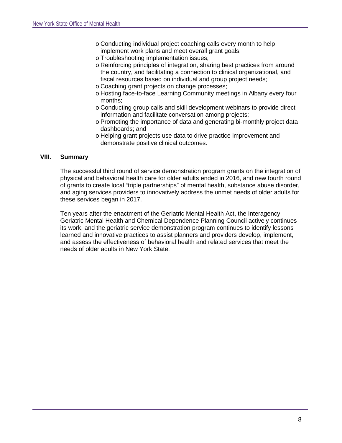- o Conducting individual project coaching calls every month to help implement work plans and meet overall grant goals;
- o Troubleshooting implementation issues;
- o Reinforcing principles of integration, sharing best practices from around the country, and facilitating a connection to clinical organizational, and fiscal resources based on individual and group project needs;
- o Coaching grant projects on change processes;
- o Hosting face-to-face Learning Community meetings in Albany every four months;
- o Conducting group calls and skill development webinars to provide direct information and facilitate conversation among projects;
- o Promoting the importance of data and generating bi-monthly project data dashboards; and
- o Helping grant projects use data to drive practice improvement and demonstrate positive clinical outcomes.

## **VIII. Summary**

The successful third round of service demonstration program grants on the integration of physical and behavioral health care for older adults ended in 2016, and new fourth round of grants to create local "triple partnerships" of mental health, substance abuse disorder, and aging services providers to innovatively address the unmet needs of older adults for these services began in 2017.

Ten years after the enactment of the Geriatric Mental Health Act, the Interagency Geriatric Mental Health and Chemical Dependence Planning Council actively continues its work, and the geriatric service demonstration program continues to identify lessons learned and innovative practices to assist planners and providers develop, implement, and assess the effectiveness of behavioral health and related services that meet the needs of older adults in New York State.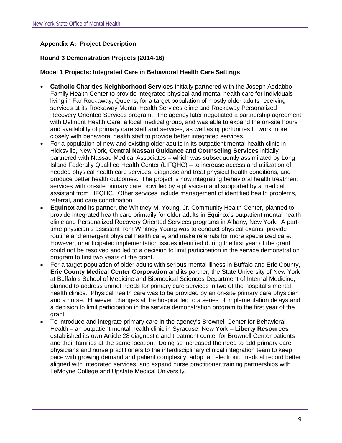# **Appendix A: Project Description**

## **Round 3 Demonstration Projects (2014-16)**

#### **Model 1 Projects: Integrated Care in Behavioral Health Care Settings**

- **Catholic Charities Neighborhood Services** initially partnered with the Joseph Addabbo Family Health Center to provide integrated physical and mental health care for individuals living in Far Rockaway, Queens, for a target population of mostly older adults receiving services at its Rockaway Mental Health Services clinic and Rockaway Personalized Recovery Oriented Services program. The agency later negotiated a partnership agreement with Delmont Health Care, a local medical group, and was able to expand the on-site hours and availability of primary care staff and services, as well as opportunities to work more closely with behavioral health staff to provide better integrated services.
- For a population of new and existing older adults in its outpatient mental health clinic in Hicksville, New York, **Central Nassau Guidance and Counseling Services** initially partnered with Nassau Medical Associates – which was subsequently assimilated by Long Island Federally Qualified Health Center (LIFQHC) – to increase access and utilization of needed physical health care services, diagnose and treat physical health conditions, and produce better health outcomes. The project is now integrating behavioral health treatment services with on-site primary care provided by a physician and supported by a medical assistant from LIFQHC. Other services include management of identified health problems, referral, and care coordination.
- **Equinox** and its partner, the Whitney M. Young, Jr. Community Health Center, planned to provide integrated health care primarily for older adults in Equinox's outpatient mental health clinic and Personalized Recovery Oriented Services programs in Albany, New York. A parttime physician's assistant from Whitney Young was to conduct physical exams, provide routine and emergent physical health care, and make referrals for more specialized care. However, unanticipated implementation issues identified during the first year of the grant could not be resolved and led to a decision to limit participation in the service demonstration program to first two years of the grant.
- For a target population of older adults with serious mental illness in Buffalo and Erie County, **Erie County Medical Center Corporation** and its partner, the State University of New York at Buffalo's School of Medicine and Biomedical Sciences Department of Internal Medicine, planned to address unmet needs for primary care services in two of the hospital's mental health clinics. Physical health care was to be provided by an on-site primary care physician and a nurse. However, changes at the hospital led to a series of implementation delays and a decision to limit participation in the service demonstration program to the first year of the grant.
- To introduce and integrate primary care in the agency's Brownell Center for Behavioral Health – an outpatient mental health clinic in Syracuse, New York – **Liberty Resources** established its own Article 28 diagnostic and treatment center for Brownell Center patients and their families at the same location. Doing so increased the need to add primary care physicians and nurse practitioners to the interdisciplinary clinical integration team to keep pace with growing demand and patient complexity, adopt an electronic medical record better aligned with integrated services, and expand nurse practitioner training partnerships with LeMoyne College and Upstate Medical University.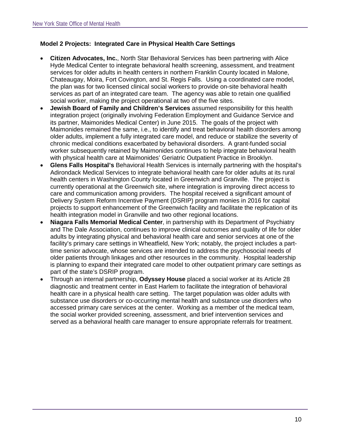# **Model 2 Projects: Integrated Care in Physical Health Care Settings**

- **Citizen Advocates, Inc.**, North Star Behavioral Services has been partnering with Alice Hyde Medical Center to integrate behavioral health screening, assessment, and treatment services for older adults in health centers in northern Franklin County located in Malone, Chateaugay, Moira, Fort Covington, and St. Regis Falls. Using a coordinated care model, the plan was for two licensed clinical social workers to provide on-site behavioral health services as part of an integrated care team. The agency was able to retain one qualified social worker, making the project operational at two of the five sites.
- **Jewish Board of Family and Children's Services** assumed responsibility for this health integration project (originally involving Federation Employment and Guidance Service and its partner, Maimonides Medical Center) in June 2015. The goals of the project with Maimonides remained the same, i.e., to identify and treat behavioral health disorders among older adults, implement a fully integrated care model, and reduce or stabilize the severity of chronic medical conditions exacerbated by behavioral disorders. A grant-funded social worker subsequently retained by Maimonides continues to help integrate behavioral health with physical health care at Maimonides' Geriatric Outpatient Practice in Brooklyn.
- **Glens Falls Hospital's** Behavioral Health Services is internally partnering with the hospital's Adirondack Medical Services to integrate behavioral health care for older adults at its rural health centers in Washington County located in Greenwich and Granville. The project is currently operational at the Greenwich site, where integration is improving direct access to care and communication among providers. The hospital received a significant amount of Delivery System Reform Incentive Payment (DSRIP) program monies in 2016 for capital projects to support enhancement of the Greenwich facility and facilitate the replication of its health integration model in Granville and two other regional locations.
- **Niagara Falls Memorial Medical Center**, in partnership with its Department of Psychiatry and The Dale Association, continues to improve clinical outcomes and quality of life for older adults by integrating physical and behavioral health care and senior services at one of the facility's primary care settings in Wheatfield, New York; notably, the project includes a parttime senior advocate, whose services are intended to address the psychosocial needs of older patients through linkages and other resources in the community. Hospital leadership is planning to expand their integrated care model to other outpatient primary care settings as part of the state's DSRIP program.
- Through an internal partnership, **Odyssey House** placed a social worker at its Article 28 diagnostic and treatment center in East Harlem to facilitate the integration of behavioral health care in a physical health care setting. The target population was older adults with substance use disorders or co-occurring mental health and substance use disorders who accessed primary care services at the center. Working as a member of the medical team, the social worker provided screening, assessment, and brief intervention services and served as a behavioral health care manager to ensure appropriate referrals for treatment.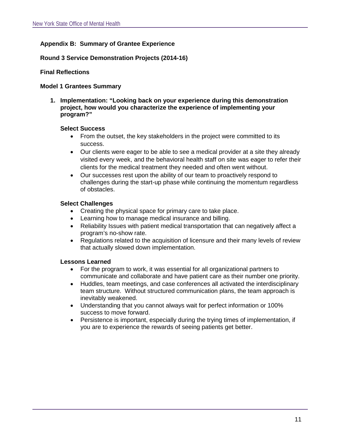# **Appendix B: Summary of Grantee Experience**

## **Round 3 Service Demonstration Projects (2014-16)**

#### **Final Reflections**

#### **Model 1 Grantees Summary**

**1. Implementation: "Looking back on your experience during this demonstration project, how would you characterize the experience of implementing your program?"**

#### **Select Success**

- From the outset, the key stakeholders in the project were committed to its success.
- Our clients were eager to be able to see a medical provider at a site they already visited every week, and the behavioral health staff on site was eager to refer their clients for the medical treatment they needed and often went without.
- Our successes rest upon the ability of our team to proactively respond to challenges during the start-up phase while continuing the momentum regardless of obstacles.

## **Select Challenges**

- Creating the physical space for primary care to take place.
- Learning how to manage medical insurance and billing.
- Reliability Issues with patient medical transportation that can negatively affect a program's no-show rate.
- Regulations related to the acquisition of licensure and their many levels of review that actually slowed down implementation.

## **Lessons Learned**

- For the program to work, it was essential for all organizational partners to communicate and collaborate and have patient care as their number one priority.
- Huddles, team meetings, and case conferences all activated the interdisciplinary team structure. Without structured communication plans, the team approach is inevitably weakened.
- Understanding that you cannot always wait for perfect information or 100% success to move forward.
- Persistence is important, especially during the trying times of implementation, if you are to experience the rewards of seeing patients get better.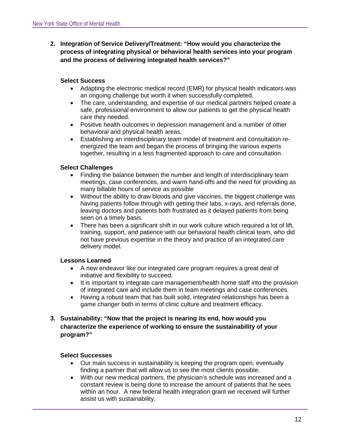**2. Integration of Service Delivery/Treatment: "How would you characterize the process of integrating physical or behavioral health services into your program and the process of delivering integrated health services?"**

# **Select Success**

- Adapting the electronic medical record (EMR) for physical health indicators was an ongoing challenge but worth it when successfully completed.
- The care, understanding, and expertise of our medical partners helped create a safe, professional environment to allow our patients to get the physical health care they needed.
- Positive health outcomes in depression management and a number of other behavioral and physical health areas.
- Establishing an interdisciplinary team model of treatment and consultation reenergized the team and began the process of bringing the various experts together, resulting in a less fragmented approach to care and consultation.

# **Select Challenges**

- Finding the balance between the number and length of interdisciplinary team meetings, case conferences, and warm hand-offs and the need for providing as many billable hours of service as possible
- Without the ability to draw bloods and give vaccines, the biggest challenge was having patients follow through with getting their labs, x-rays, and referrals done, leaving doctors and patients both frustrated as it delayed patients from being seen on a timely basis.
- There has been a significant shift in our work culture which required a lot of lift, training, support, and patience with our behavioral health clinical team, who did not have previous expertise in the theory and practice of an integrated care delivery model.

# **Lessons Learned**

- A new endeavor like our integrated care program requires a great deal of initiative and flexibility to succeed.
- It is important to integrate care management/health home staff into the provision of integrated care and include them in team meetings and case conferences.
- Having a robust team that has built solid, integrated relationships has been a game changer both in terms of clinic culture and treatment efficacy.

# **3. Sustainability: "Now that the project is nearing its end, how would you characterize the experience of working to ensure the sustainability of your program?"**

# **Select Successes**

- Our main success in sustainability is keeping the program open, eventually finding a partner that will allow us to see the most clients possible.
- With our new medical partners, the physician's schedule was increased and a constant review is being done to increase the amount of patients that he sees within an hour. A new federal health integration grant we received will further assist us with sustainability.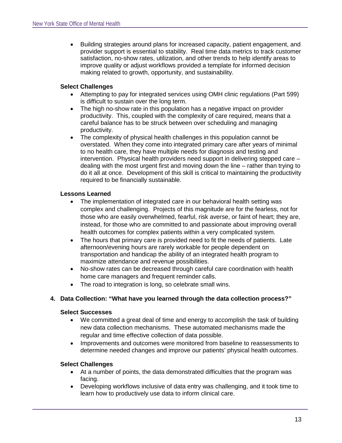• Building strategies around plans for increased capacity, patient engagement, and provider support is essential to stability. Real time data metrics to track customer satisfaction, no-show rates, utilization, and other trends to help identify areas to improve quality or adjust workflows provided a template for informed decision making related to growth, opportunity, and sustainability.

# **Select Challenges**

- Attempting to pay for integrated services using OMH clinic regulations (Part 599) is difficult to sustain over the long term.
- The high no-show rate in this population has a negative impact on provider productivity. This, coupled with the complexity of care required, means that a careful balance has to be struck between over scheduling and managing productivity.
- The complexity of physical health challenges in this population cannot be overstated. When they come into integrated primary care after years of minimal to no health care, they have multiple needs for diagnosis and testing and intervention. Physical health providers need support in delivering stepped care – dealing with the most urgent first and moving down the line – rather than trying to do it all at once. Development of this skill is critical to maintaining the productivity required to be financially sustainable.

# **Lessons Learned**

- The implementation of integrated care in our behavioral health setting was complex and challenging. Projects of this magnitude are for the fearless, not for those who are easily overwhelmed, fearful, risk averse, or faint of heart; they are, instead, for those who are committed to and passionate about improving overall health outcomes for complex patients within a very complicated system.
- The hours that primary care is provided need to fit the needs of patients. Late afternoon/evening hours are rarely workable for people dependent on transportation and handicap the ability of an integrated health program to maximize attendance and revenue possibilities.
- No-show rates can be decreased through careful care coordination with health home care managers and frequent reminder calls.
- The road to integration is long, so celebrate small wins.

# **4. Data Collection: "What have you learned through the data collection process?"**

# **Select Successes**

- We committed a great deal of time and energy to accomplish the task of building new data collection mechanisms. These automated mechanisms made the regular and time effective collection of data possible.
- Improvements and outcomes were monitored from baseline to reassessments to determine needed changes and improve our patients' physical health outcomes.

# **Select Challenges**

- At a number of points, the data demonstrated difficulties that the program was facing.
- Developing workflows inclusive of data entry was challenging, and it took time to learn how to productively use data to inform clinical care.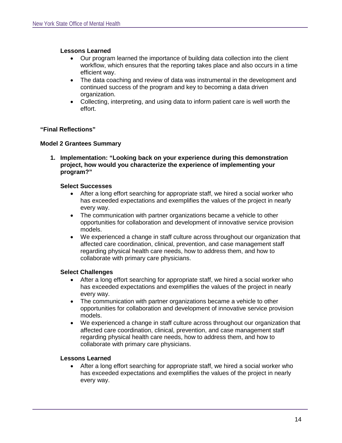## **Lessons Learned**

- Our program learned the importance of building data collection into the client workflow, which ensures that the reporting takes place and also occurs in a time efficient way.
- The data coaching and review of data was instrumental in the development and continued success of the program and key to becoming a data driven organization.
- Collecting, interpreting, and using data to inform patient care is well worth the effort.

## **"Final Reflections"**

## **Model 2 Grantees Summary**

**1. Implementation: "Looking back on your experience during this demonstration project, how would you characterize the experience of implementing your program?"**

#### **Select Successes**

- After a long effort searching for appropriate staff, we hired a social worker who has exceeded expectations and exemplifies the values of the project in nearly every way.
- The communication with partner organizations became a vehicle to other opportunities for collaboration and development of innovative service provision models.
- We experienced a change in staff culture across throughout our organization that affected care coordination, clinical, prevention, and case management staff regarding physical health care needs, how to address them, and how to collaborate with primary care physicians.

## **Select Challenges**

- After a long effort searching for appropriate staff, we hired a social worker who has exceeded expectations and exemplifies the values of the project in nearly every way.
- The communication with partner organizations became a vehicle to other opportunities for collaboration and development of innovative service provision models.
- We experienced a change in staff culture across throughout our organization that affected care coordination, clinical, prevention, and case management staff regarding physical health care needs, how to address them, and how to collaborate with primary care physicians.

## **Lessons Learned**

• After a long effort searching for appropriate staff, we hired a social worker who has exceeded expectations and exemplifies the values of the project in nearly every way.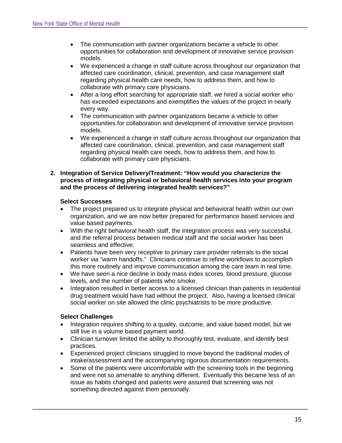- The communication with partner organizations became a vehicle to other opportunities for collaboration and development of innovative service provision models.
- We experienced a change in staff culture across throughout our organization that affected care coordination, clinical, prevention, and case management staff regarding physical health care needs, how to address them, and how to collaborate with primary care physicians.
- After a long effort searching for appropriate staff, we hired a social worker who has exceeded expectations and exemplifies the values of the project in nearly every way.
- The communication with partner organizations became a vehicle to other opportunities for collaboration and development of innovative service provision models.
- We experienced a change in staff culture across throughout our organization that affected care coordination, clinical, prevention, and case management staff regarding physical health care needs, how to address them, and how to collaborate with primary care physicians.

#### **2. Integration of Service Delivery/Treatment: "How would you characterize the process of integrating physical or behavioral health services into your program and the process of delivering integrated health services?"**

## **Select Successes**

- The project prepared us to integrate physical and behavioral health within our own organization, and we are now better prepared for performance based services and value based payments.
- With the right behavioral health staff, the integration process was very successful, and the referral process between medical staff and the social worker has been seamless and effective.
- Patients have been very receptive to primary care provider referrals to the social worker via "warm handoffs." Clinicians continue to refine workflows to accomplish this more routinely and improve communication among the care team in real time.
- We have seen a nice decline in body mass index scores, blood pressure, glucose levels, and the number of patients who smoke.
- Integration resulted in better access to a licensed clinician than patients in residential drug treatment would have had without the project. Also, having a licensed clinical social worker on site allowed the clinic psychiatrists to be more productive.

# **Select Challenges**

- Integration requires shifting to a quality, outcome, and value based model, but we still live in a volume based payment world.
- Clinician turnover limited the ability to thoroughly test, evaluate, and identify best practices.
- Experienced project clinicians struggled to move beyond the traditional modes of intake/assessment and the accompanying rigorous documentation requirements.
- Some of the patients were uncomfortable with the screening tools in the beginning and were not so amenable to anything different. Eventually this became less of an issue as habits changed and patients were assured that screening was not something directed against them personally.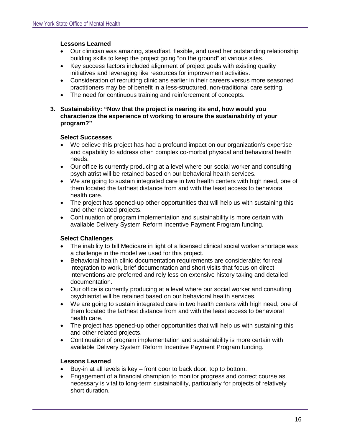## **Lessons Learned**

- Our clinician was amazing, steadfast, flexible, and used her outstanding relationship building skills to keep the project going "on the ground" at various sites.
- Key success factors included alignment of project goals with existing quality initiatives and leveraging like resources for improvement activities.
- Consideration of recruiting clinicians earlier in their careers versus more seasoned practitioners may be of benefit in a less-structured, non-traditional care setting.
- The need for continuous training and reinforcement of concepts.
- **3. Sustainability: "Now that the project is nearing its end, how would you characterize the experience of working to ensure the sustainability of your program?"**

## **Select Successes**

- We believe this project has had a profound impact on our organization's expertise and capability to address often complex co-morbid physical and behavioral health needs.
- Our office is currently producing at a level where our social worker and consulting psychiatrist will be retained based on our behavioral health services.
- We are going to sustain integrated care in two health centers with high need, one of them located the farthest distance from and with the least access to behavioral health care.
- The project has opened-up other opportunities that will help us with sustaining this and other related projects.
- Continuation of program implementation and sustainability is more certain with available Delivery System Reform Incentive Payment Program funding.

# **Select Challenges**

- The inability to bill Medicare in light of a licensed clinical social worker shortage was a challenge in the model we used for this project.
- Behavioral health clinic documentation requirements are considerable; for real integration to work, brief documentation and short visits that focus on direct interventions are preferred and rely less on extensive history taking and detailed documentation.
- Our office is currently producing at a level where our social worker and consulting psychiatrist will be retained based on our behavioral health services.
- We are going to sustain integrated care in two health centers with high need, one of them located the farthest distance from and with the least access to behavioral health care.
- The project has opened-up other opportunities that will help us with sustaining this and other related projects.
- Continuation of program implementation and sustainability is more certain with available Delivery System Reform Incentive Payment Program funding.

# **Lessons Learned**

- Buy-in at all levels is key front door to back door, top to bottom.
- Engagement of a financial champion to monitor progress and correct course as necessary is vital to long-term sustainability, particularly for projects of relatively short duration.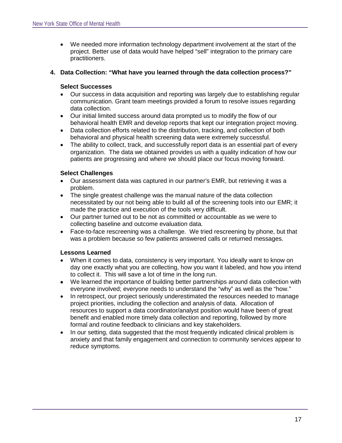• We needed more information technology department involvement at the start of the project. Better use of data would have helped "sell" integration to the primary care practitioners.

## **4. Data Collection: "What have you learned through the data collection process?"**

## **Select Successes**

- Our success in data acquisition and reporting was largely due to establishing regular communication. Grant team meetings provided a forum to resolve issues regarding data collection.
- Our initial limited success around data prompted us to modify the flow of our behavioral health EMR and develop reports that kept our integration project moving.
- Data collection efforts related to the distribution, tracking, and collection of both behavioral and physical health screening data were extremely successful.
- The ability to collect, track, and successfully report data is an essential part of every organization. The data we obtained provides us with a quality indication of how our patients are progressing and where we should place our focus moving forward.

## **Select Challenges**

- Our assessment data was captured in our partner's EMR, but retrieving it was a problem.
- The single greatest challenge was the manual nature of the data collection necessitated by our not being able to build all of the screening tools into our EMR; it made the practice and execution of the tools very difficult.
- Our partner turned out to be not as committed or accountable as we were to collecting baseline and outcome evaluation data.
- Face-to-face rescreening was a challenge. We tried rescreening by phone, but that was a problem because so few patients answered calls or returned messages.

## **Lessons Learned**

- When it comes to data, consistency is very important. You ideally want to know on day one exactly what you are collecting, how you want it labeled, and how you intend to collect it. This will save a lot of time in the long run.
- We learned the importance of building better partnerships around data collection with everyone involved; everyone needs to understand the "why" as well as the "how."
- In retrospect, our project seriously underestimated the resources needed to manage project priorities, including the collection and analysis of data. Allocation of resources to support a data coordinator/analyst position would have been of great benefit and enabled more timely data collection and reporting, followed by more formal and routine feedback to clinicians and key stakeholders.
- In our setting, data suggested that the most frequently indicated clinical problem is anxiety and that family engagement and connection to community services appear to reduce symptoms.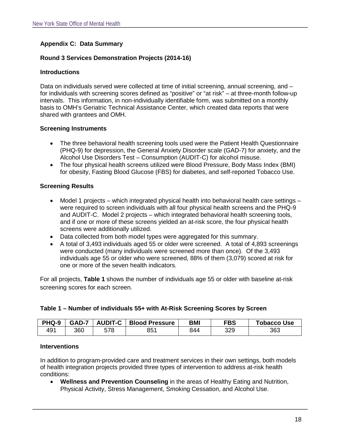# **Appendix C: Data Summary**

## **Round 3 Services Demonstration Projects (2014-16)**

## **Introductions**

Data on individuals served were collected at time of initial screening, annual screening, and – for individuals with screening scores defined as "positive" or "at risk" – at three-month follow-up intervals. This information, in non-individually identifiable form, was submitted on a monthly basis to OMH's Geriatric Technical Assistance Center, which created data reports that were shared with grantees and OMH.

## **Screening Instruments**

- The three behavioral health screening tools used were the Patient Health Questionnaire (PHQ-9) for depression, the General Anxiety Disorder scale (GAD-7) for anxiety, and the Alcohol Use Disorders Test – Consumption (AUDIT-C) for alcohol misuse.
- The four physical health screens utilized were Blood Pressure, Body Mass Index (BMI) for obesity, Fasting Blood Glucose (FBS) for diabetes, and self-reported Tobacco Use.

## **Screening Results**

- Model 1 projects which integrated physical health into behavioral health care settings were required to screen individuals with all four physical health screens and the PHQ-9 and AUDIT-C. Model 2 projects – which integrated behavioral health screening tools, and if one or more of these screens yielded an at-risk score, the four physical health screens were additionally utilized.
- Data collected from both model types were aggregated for this summary.
- A total of 3,493 individuals aged 55 or older were screened. A total of 4,893 screenings were conducted (many individuals were screened more than once). Of the 3,493 individuals age 55 or older who were screened, 88% of them (3,079) scored at risk for one or more of the seven health indicators.

For all projects, **Table 1** shows the number of individuals age 55 or older with baseline at-risk screening scores for each screen.

| PHQ-9 | GAD-7 | <b>AUDIT-C</b> | <b>Blood Pressure</b> | <b>BM</b> | FBS | <b>Tobacco Use</b> |
|-------|-------|----------------|-----------------------|-----------|-----|--------------------|
| 491   | 360   | 578            | 851                   | 844       | 329 | 363                |

## **Table 1 – Number of individuals 55+ with At-Risk Screening Scores by Screen**

#### **Interventions**

In addition to program-provided care and treatment services in their own settings, both models of health integration projects provided three types of intervention to address at-risk health conditions:

• **Wellness and Prevention Counseling** in the areas of Healthy Eating and Nutrition, Physical Activity, Stress Management, Smoking Cessation, and Alcohol Use.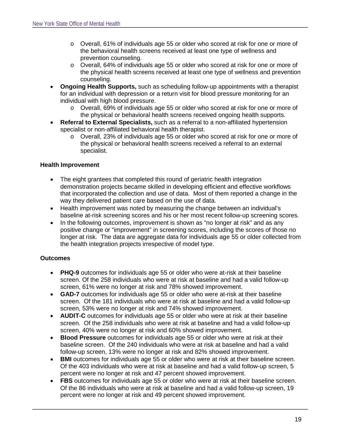- o Overall, 61% of individuals age 55 or older who scored at risk for one or more of the behavioral health screens received at least one type of wellness and prevention counseling.
- o Overall, 64% of individuals age 55 or older who scored at risk for one or more of the physical health screens received at least one type of wellness and prevention counseling.
- **Ongoing Health Supports,** such as scheduling follow-up appointments with a therapist for an individual with depression or a return visit for blood pressure monitoring for an individual with high blood pressure.
	- o Overall, 69% of individuals age 55 or older who scored at risk for one or more of the physical or behavioral health screens received ongoing health supports.
- **Referral to External Specialists,** such as a referral to a non-affiliated hypertension specialist or non-affiliated behavioral health therapist.
	- o Overall, 23% of individuals age 55 or older who scored at risk for one or more of the physical or behavioral health screens received a referral to an external specialist.

# **Health Improvement**

- The eight grantees that completed this round of geriatric health integration demonstration projects became skilled in developing efficient and effective workflows that incorporated the collection and use of data. Most of them reported a change in the way they delivered patient care based on the use of data.
- Health improvement was noted by measuring the change between an individual's baseline at-risk screening scores and his or her most recent follow-up screening scores.
- In the following outcomes, improvement is shown as "no longer at risk" and as any positive change or "improvement" in screening scores, including the scores of those no longer at risk. The data are aggregate data for individuals age 55 or older collected from the health integration projects irrespective of model type.

# **Outcomes**

- **PHQ-9** outcomes for individuals age 55 or older who were at-risk at their baseline screen. Of the 258 individuals who were at risk at baseline and had a valid follow-up screen, 61% were no longer at risk and 78% showed improvement.
- **GAD-7** outcomes for individuals age 55 or older who were at-risk at their baseline screen. Of the 181 individuals who were at risk at baseline and had a valid follow-up screen, 53% were no longer at risk and 74% showed improvement.
- **AUDIT-C** outcomes for individuals age 55 or older who were at risk at their baseline screen. Of the 258 individuals who were at risk at baseline and had a valid follow-up screen, 40% were no longer at risk and 60% showed improvement.
- **Blood Pressure** outcomes for individuals age 55 or older who were at risk at their baseline screen. Of the 240 individuals who were at risk at baseline and had a valid follow-up screen, 13% were no longer at risk and 82% showed improvement.
- **BMI** outcomes for individuals age 55 or older who were at risk at their baseline screen. Of the 403 individuals who were at risk at baseline and had a valid follow-up screen, 5 percent were no longer at risk and 47 percent showed improvement.
- **FBS** outcomes for individuals age 55 or older who were at risk at their baseline screen. Of the 86 individuals who were at risk at baseline and had a valid follow-up screen, 19 percent were no longer at risk and 49 percent showed improvement.